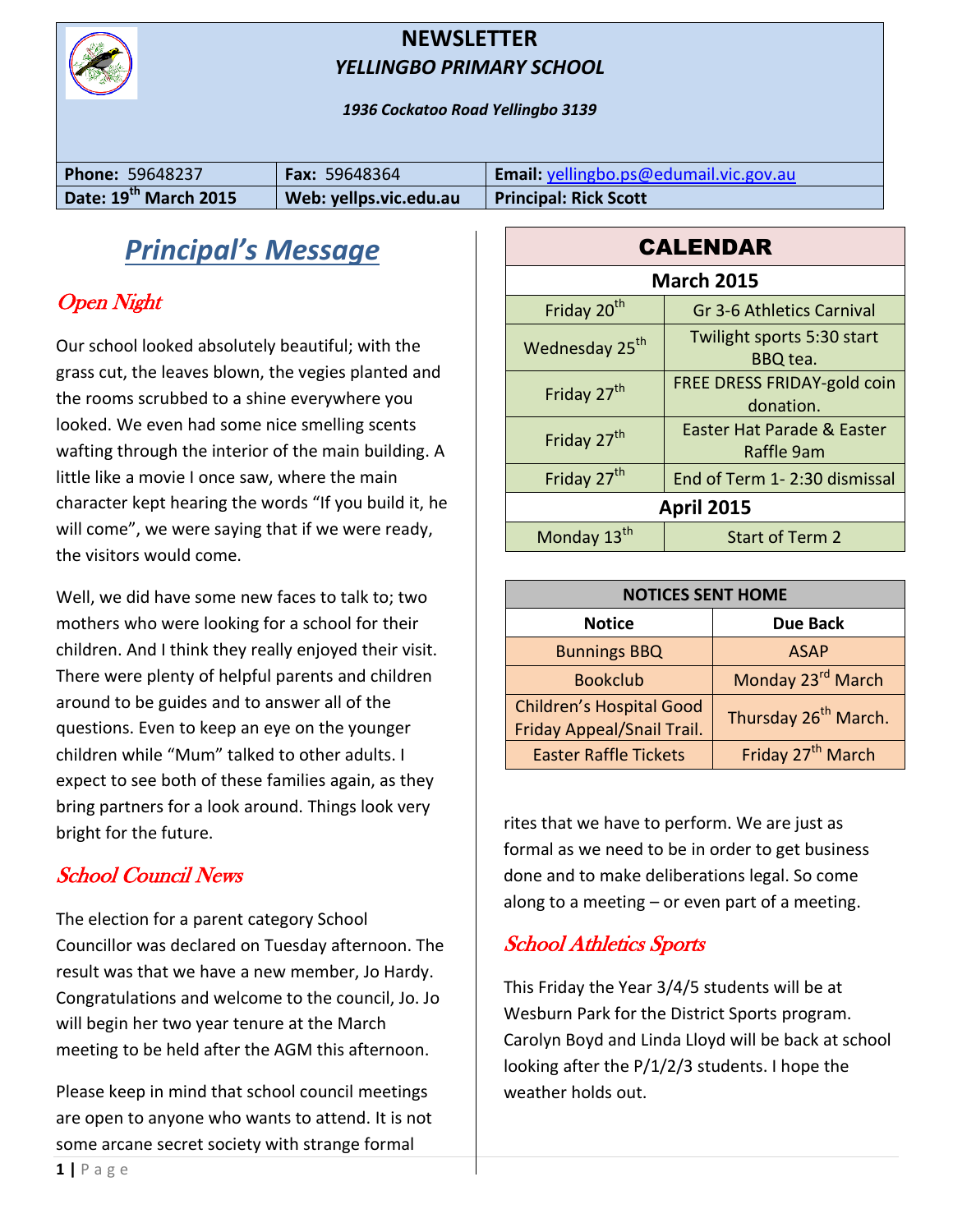

#### **NEWSLETTER** *YELLINGBO PRIMARY SCHOOL*

*1936 Cockatoo Road Yellingbo 3139*

| <b>Phone: 59648237</b>            | <b>Fax: 59648364</b>   | Email: yellingbo.ps@edumail.vic.gov.au |
|-----------------------------------|------------------------|----------------------------------------|
| Date: 19 <sup>th</sup> March 2015 | Web: yellps.vic.edu.au | <b>Principal: Rick Scott</b>           |

## *Principal's Message*

### Open Night

Our school looked absolutely beautiful; with the grass cut, the leaves blown, the vegies planted and the rooms scrubbed to a shine everywhere you looked. We even had some nice smelling scents wafting through the interior of the main building. A little like a movie I once saw, where the main character kept hearing the words "If you build it, he will come", we were saying that if we were ready, the visitors would come.

Well, we did have some new faces to talk to; two mothers who were looking for a school for their children. And I think they really enjoyed their visit. There were plenty of helpful parents and children around to be guides and to answer all of the questions. Even to keep an eye on the younger children while "Mum" talked to other adults. I expect to see both of these families again, as they bring partners for a look around. Things look very bright for the future.

### School Council News

The election for a parent category School Councillor was declared on Tuesday afternoon. The result was that we have a new member, Jo Hardy. Congratulations and welcome to the council, Jo. Jo will begin her two year tenure at the March meeting to be held after the AGM this afternoon.

Please keep in mind that school council meetings are open to anyone who wants to attend. It is not some arcane secret society with strange formal

| <b>CALENDAR</b>            |                                                 |  |  |
|----------------------------|-------------------------------------------------|--|--|
| <b>March 2015</b>          |                                                 |  |  |
| Friday 20 <sup>th</sup>    | Gr 3-6 Athletics Carnival                       |  |  |
| Wednesday 25 <sup>th</sup> | Twilight sports 5:30 start<br>BBQ tea.          |  |  |
| Friday 27 <sup>th</sup>    | <b>FREE DRESS FRIDAY-gold coin</b><br>donation. |  |  |
| Friday 27 <sup>th</sup>    | Easter Hat Parade & Easter<br>Raffle 9am        |  |  |
| Friday 27 <sup>th</sup>    | End of Term 1-2:30 dismissal                    |  |  |
| <b>April 2015</b>          |                                                 |  |  |
| Monday 13 <sup>th</sup>    | Start of Term 2                                 |  |  |

| <b>NOTICES SENT HOME</b>                                      |                                  |  |
|---------------------------------------------------------------|----------------------------------|--|
| <b>Notice</b>                                                 | <b>Due Back</b>                  |  |
| <b>Bunnings BBQ</b>                                           | <b>ASAP</b>                      |  |
| <b>Bookclub</b>                                               | Monday 23rd March                |  |
| <b>Children's Hospital Good</b><br>Friday Appeal/Snail Trail. | Thursday 26 <sup>th</sup> March. |  |
| <b>Easter Raffle Tickets</b>                                  | Friday 27 <sup>th</sup> March    |  |

rites that we have to perform. We are just as formal as we need to be in order to get business done and to make deliberations legal. So come along to a meeting  $-$  or even part of a meeting.

### School Athletics Sports

This Friday the Year 3/4/5 students will be at Wesburn Park for the District Sports program. Carolyn Boyd and Linda Lloyd will be back at school looking after the P/1/2/3 students. I hope the weather holds out.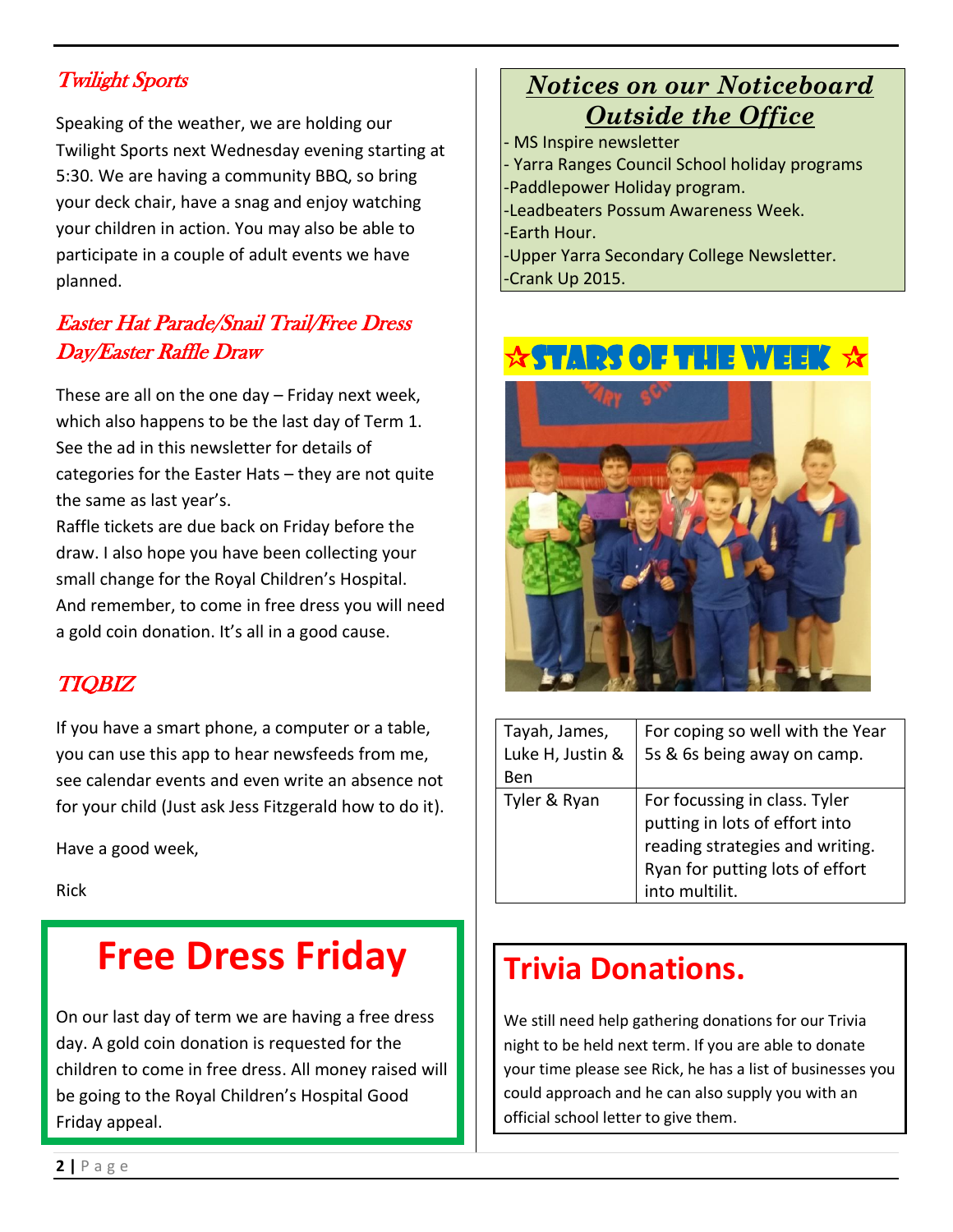### Twilight Sports

Speaking of the weather, we are holding our Twilight Sports next Wednesday evening starting at 5:30. We are having a community BBQ, so bring your deck chair, have a snag and enjoy watching your children in action. You may also be able to participate in a couple of adult events we have planned.

### Easter Hat Parade/Snail Trail/Free Dress Day/Easter Raffle Draw

These are all on the one day – Friday next week, which also happens to be the last day of Term 1. See the ad in this newsletter for details of categories for the Easter Hats – they are not quite the same as last year's.

Raffle tickets are due back on Friday before the draw. I also hope you have been collecting your small change for the Royal Children's Hospital. And remember, to come in free dress you will need a gold coin donation. It's all in a good cause.

### TIQBIZ

If you have a smart phone, a computer or a table, you can use this app to hear newsfeeds from me, see calendar events and even write an absence not for your child (Just ask Jess Fitzgerald how to do it).

Have a good week,

Rick

## **Free Dress Friday**

On our last day of term we are having a free dress day. A gold coin donation is requested for the children to come in free dress. All money raised will be going to the Royal Children's Hospital Good Friday appeal.

### *Notices on our Noticeboard Outside the Office*

MS Inspire newsletter - Yarra Ranges Council School holiday programs -Paddlepower Holiday program. -Leadbeaters Possum Awareness Week. -Earth Hour. -Upper Yarra Secondary College Newsletter. -Crank Up 2015.

## RS OF THE WEEK  $\, \boldsymbol{\lambda} \,$



| Tayah, James,    | For coping so well with the Year                                                                                                      |
|------------------|---------------------------------------------------------------------------------------------------------------------------------------|
| Luke H, Justin & | 5s & 6s being away on camp.                                                                                                           |
| Ben              |                                                                                                                                       |
| Tyler & Ryan     | For focussing in class. Tyler<br>putting in lots of effort into<br>reading strategies and writing.<br>Ryan for putting lots of effort |
|                  |                                                                                                                                       |
|                  |                                                                                                                                       |
|                  |                                                                                                                                       |
|                  | into multilit.                                                                                                                        |

## **Trivia Donations.**

We still need help gathering donations for our Trivia night to be held next term. If you are able to donate your time please see Rick, he has a list of businesses you could approach and he can also supply you with an official school letter to give them.